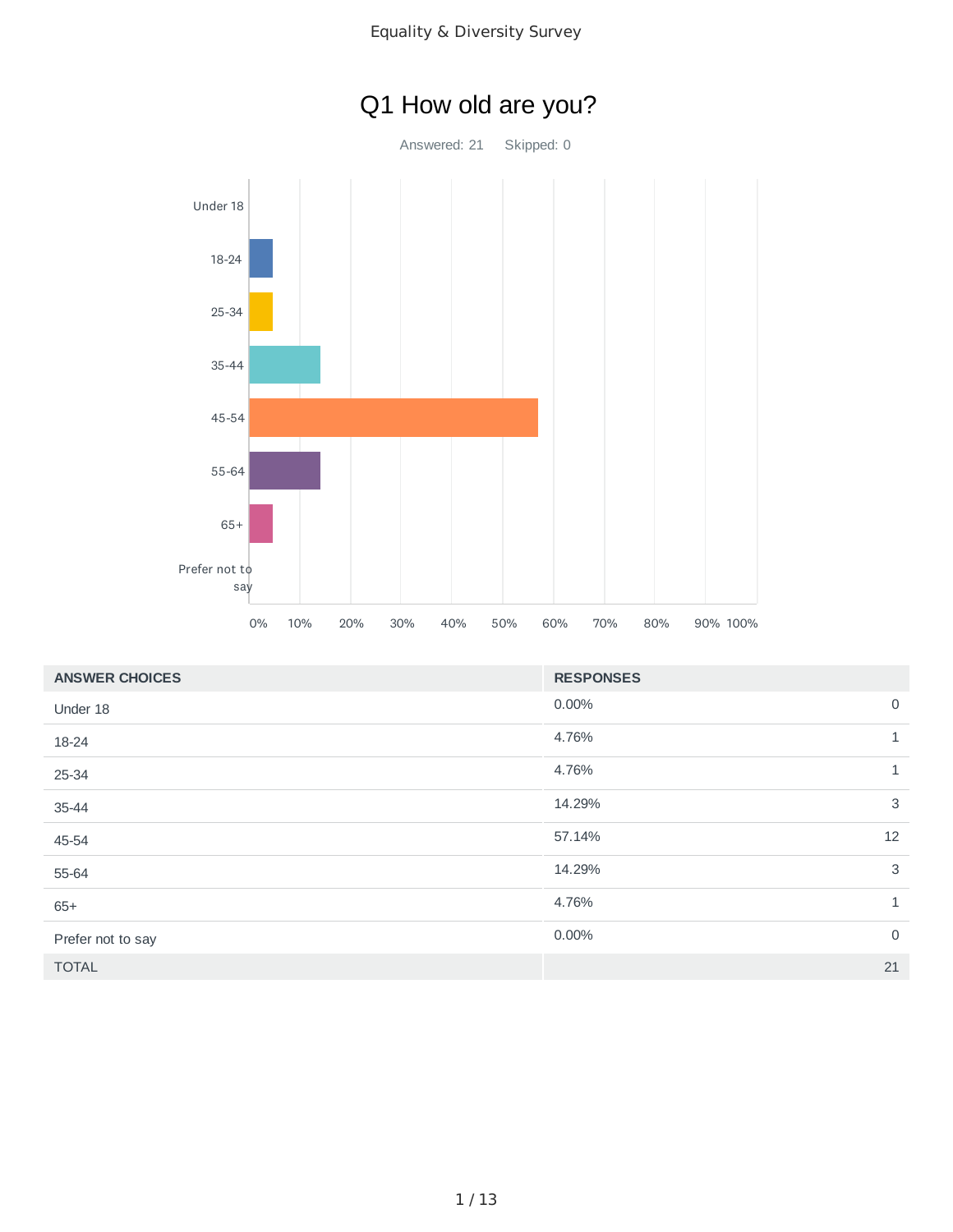



| <b>ANSWER CHOICES</b> | <b>RESPONSES</b>      |
|-----------------------|-----------------------|
| Under 18              | $\mathbf 0$<br>0.00%  |
| 18-24                 | 4.76%<br>$\mathbf{1}$ |
| 25-34                 | 4.76%<br>1            |
| 35-44                 | 3<br>14.29%           |
| 45-54                 | 12<br>57.14%          |
| 55-64                 | 3<br>14.29%           |
| $65+$                 | 4.76%<br>1            |
| Prefer not to say     | $\mathbf 0$<br>0.00%  |
| <b>TOTAL</b>          | 21                    |

# Q1 How old are you?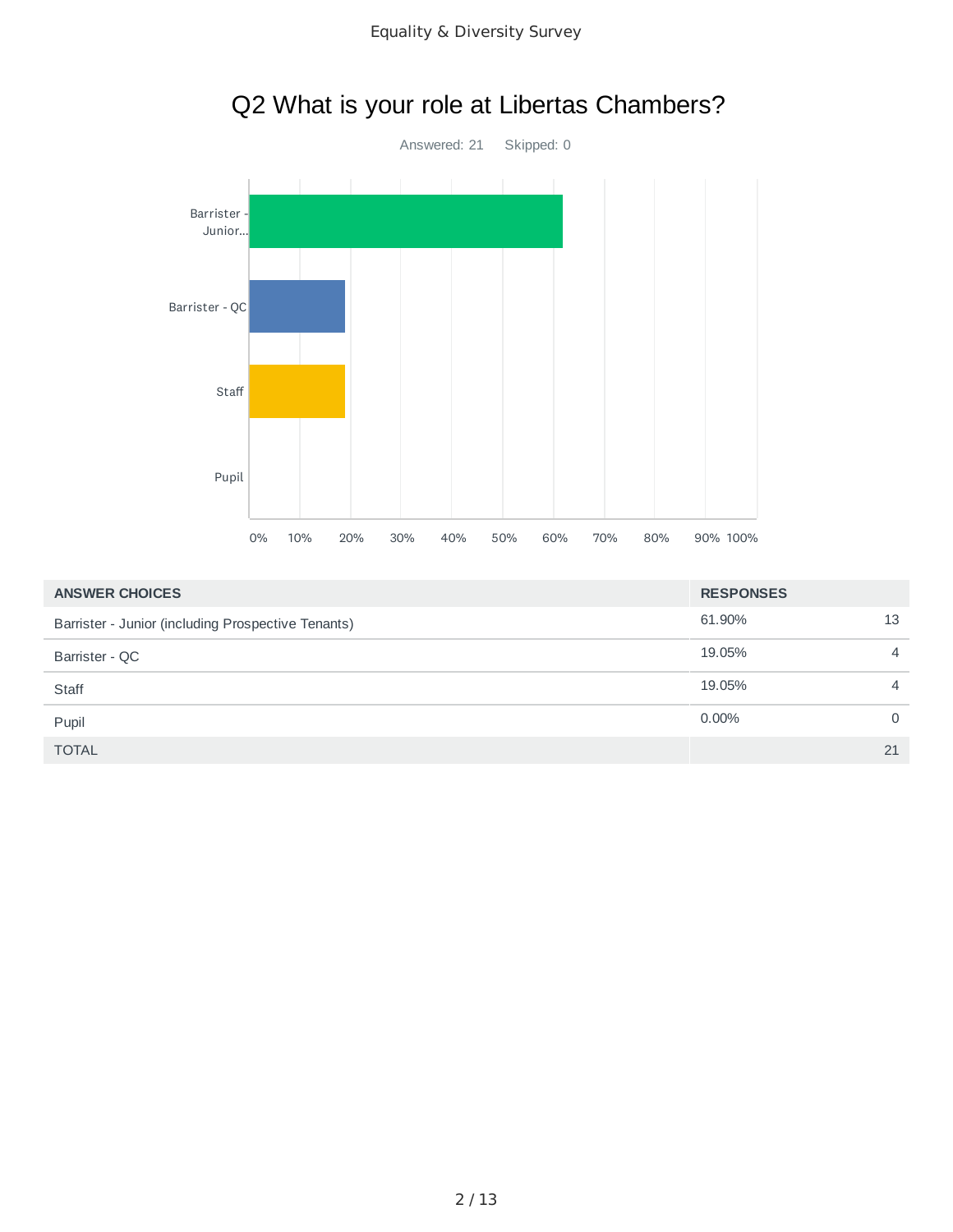

| <b>ANSWER CHOICES</b>                              | <b>RESPONSES</b> |                |
|----------------------------------------------------|------------------|----------------|
| Barrister - Junior (including Prospective Tenants) | 61.90%           | 13             |
| Barrister - QC                                     | 19.05%           | $\overline{4}$ |
| Staff                                              | 19.05%           | $\overline{4}$ |
| Pupil                                              | $0.00\%$         | $\Omega$       |
| <b>TOTAL</b>                                       |                  | 21             |

# Q2 What is your role at Libertas Chambers?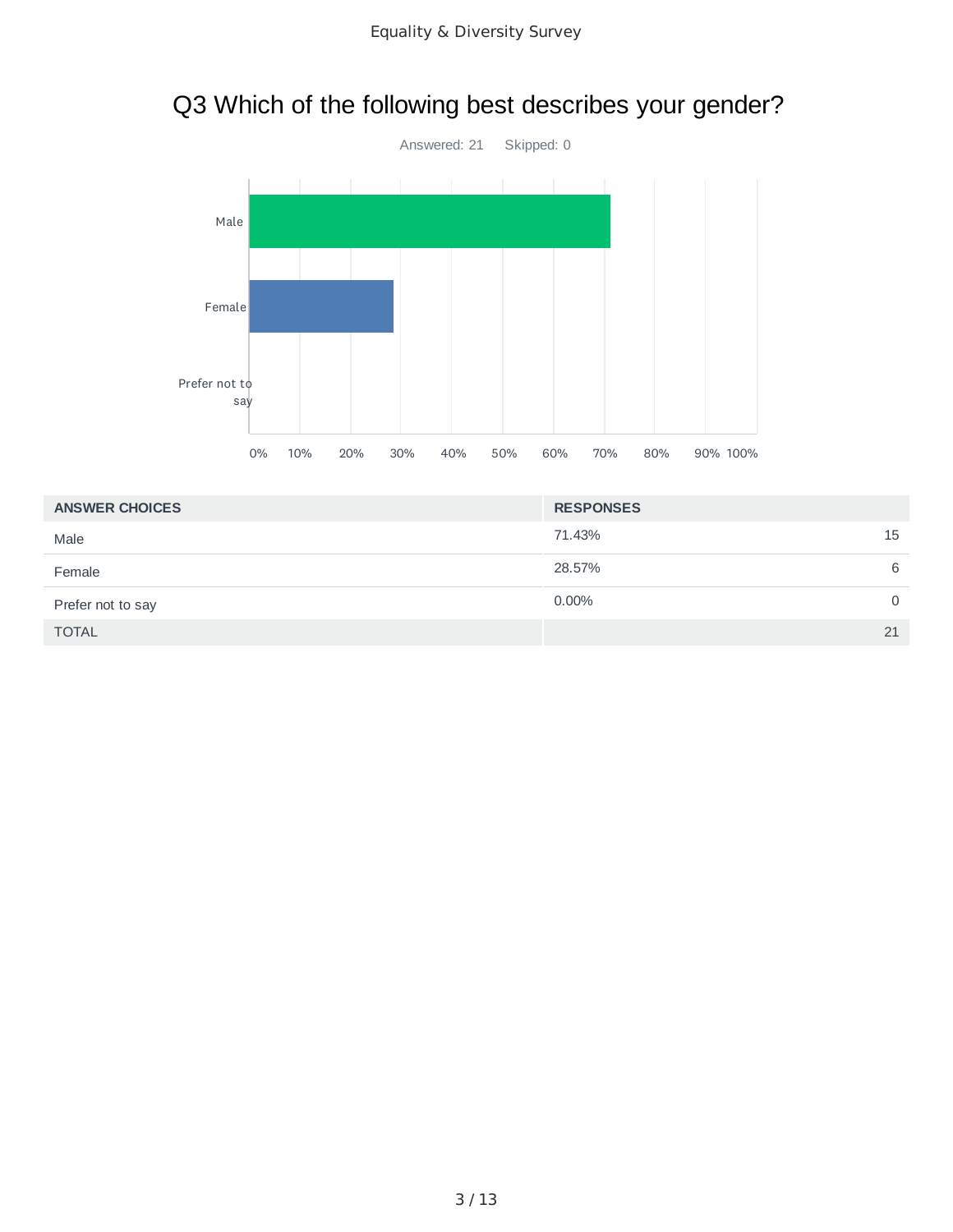# Q3 Which of the following best describes your gender?



| <b>ANSWER CHOICES</b> | <b>RESPONSES</b> |
|-----------------------|------------------|
| Male                  | 15<br>71.43%     |
| Female                | 28.57%<br>6      |
| Prefer not to say     | $0.00\%$<br>0    |
| <b>TOTAL</b>          | 21               |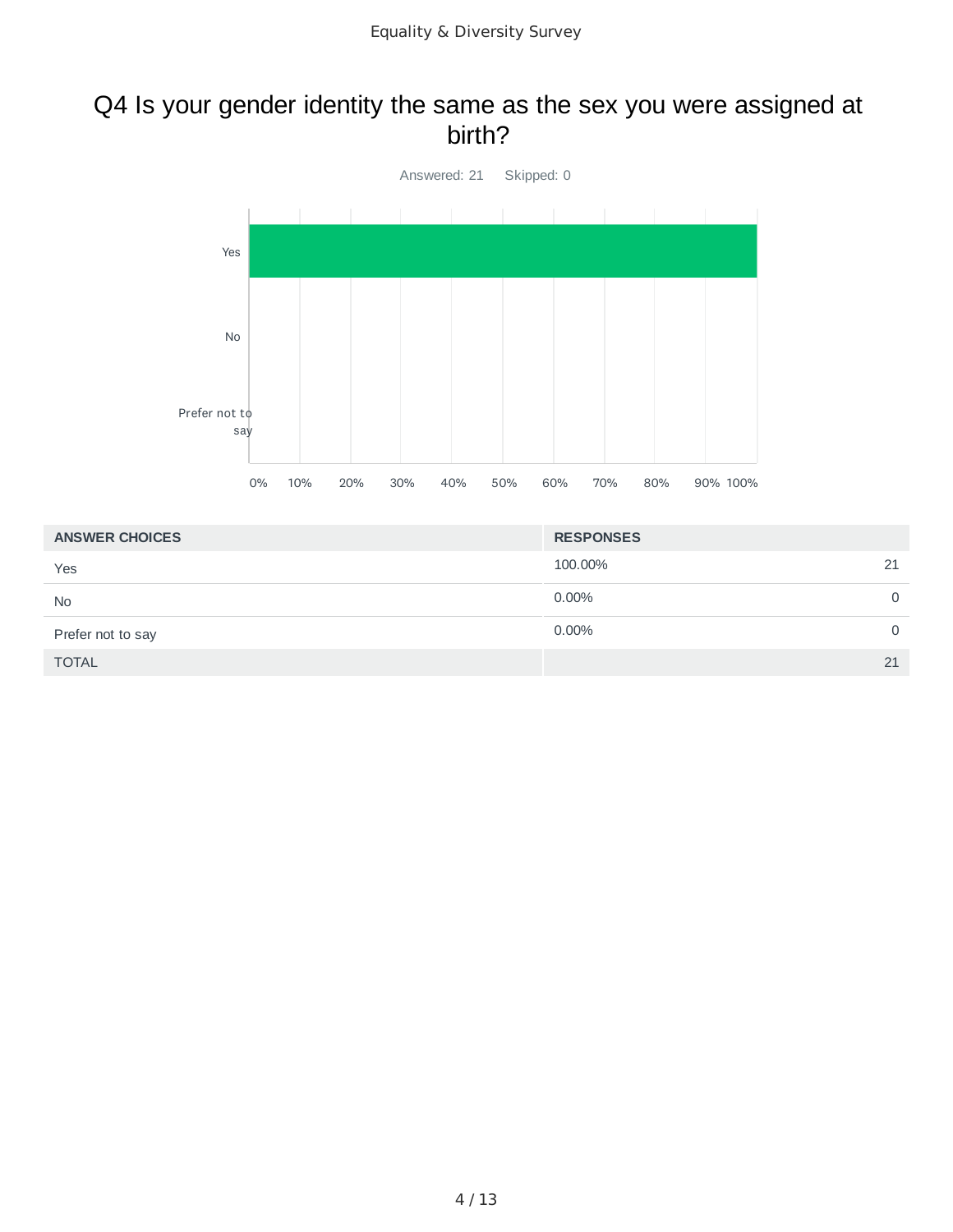#### Q4 Is your gender identity the same as the sex you were assigned at birth?



| <b>ANSWER CHOICES</b> | <b>RESPONSES</b> |          |
|-----------------------|------------------|----------|
| Yes                   | 100.00%          | 21       |
| <b>No</b>             | $0.00\%$         | $\Omega$ |
| Prefer not to say     | 0.00%            | $\Omega$ |
| <b>TOTAL</b>          | 21               |          |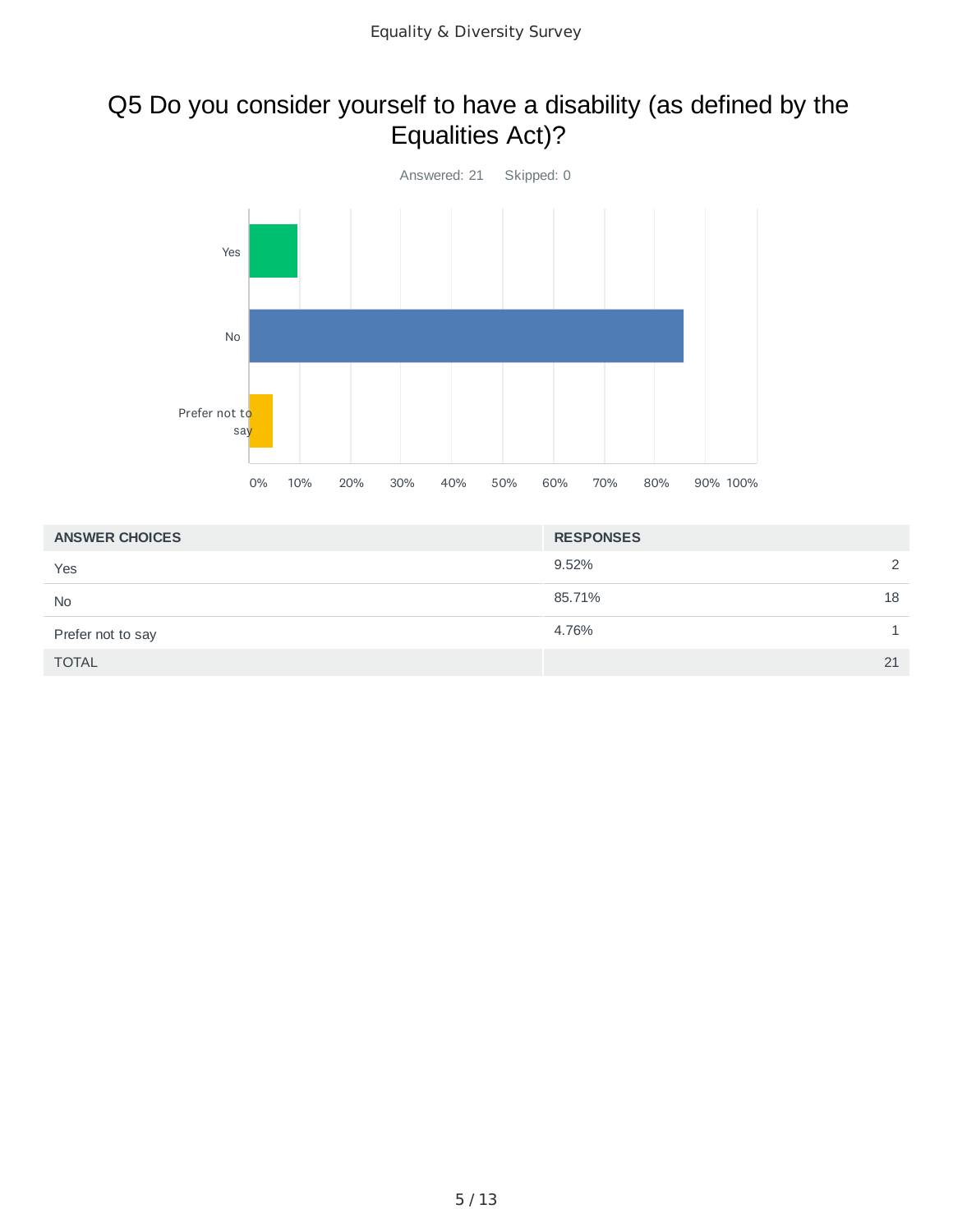#### Q5 Do you consider yourself to have a disability (as defined by the Equalities Act)?



| <b>ANSWER CHOICES</b> | <b>RESPONSES</b> |
|-----------------------|------------------|
| Yes                   | 9.52%<br>2       |
| <b>No</b>             | 85.71%<br>18     |
| Prefer not to say     | 4.76%            |
| <b>TOTAL</b>          | 21               |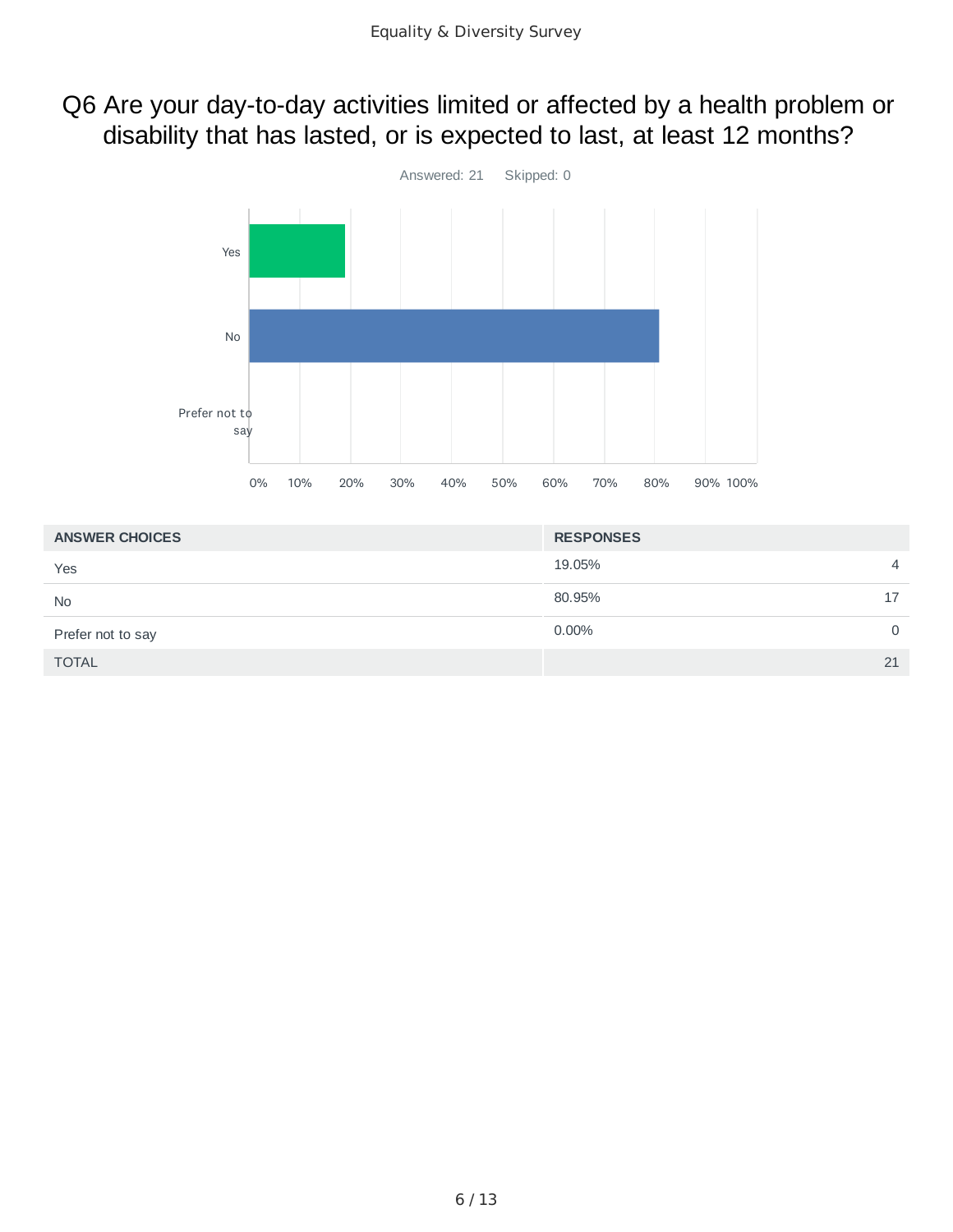#### Q6 Are your day-to-day activities limited or affected by a health problem or disability that has lasted, or is expected to last, at least 12 months?



| <b>ANSWER CHOICES</b> | <b>RESPONSES</b>         |
|-----------------------|--------------------------|
| Yes                   | 19.05%<br>$\overline{4}$ |
| <b>No</b>             | 80.95%<br>17             |
| Prefer not to say     | $0.00\%$<br>$\Omega$     |
| <b>TOTAL</b>          | 21                       |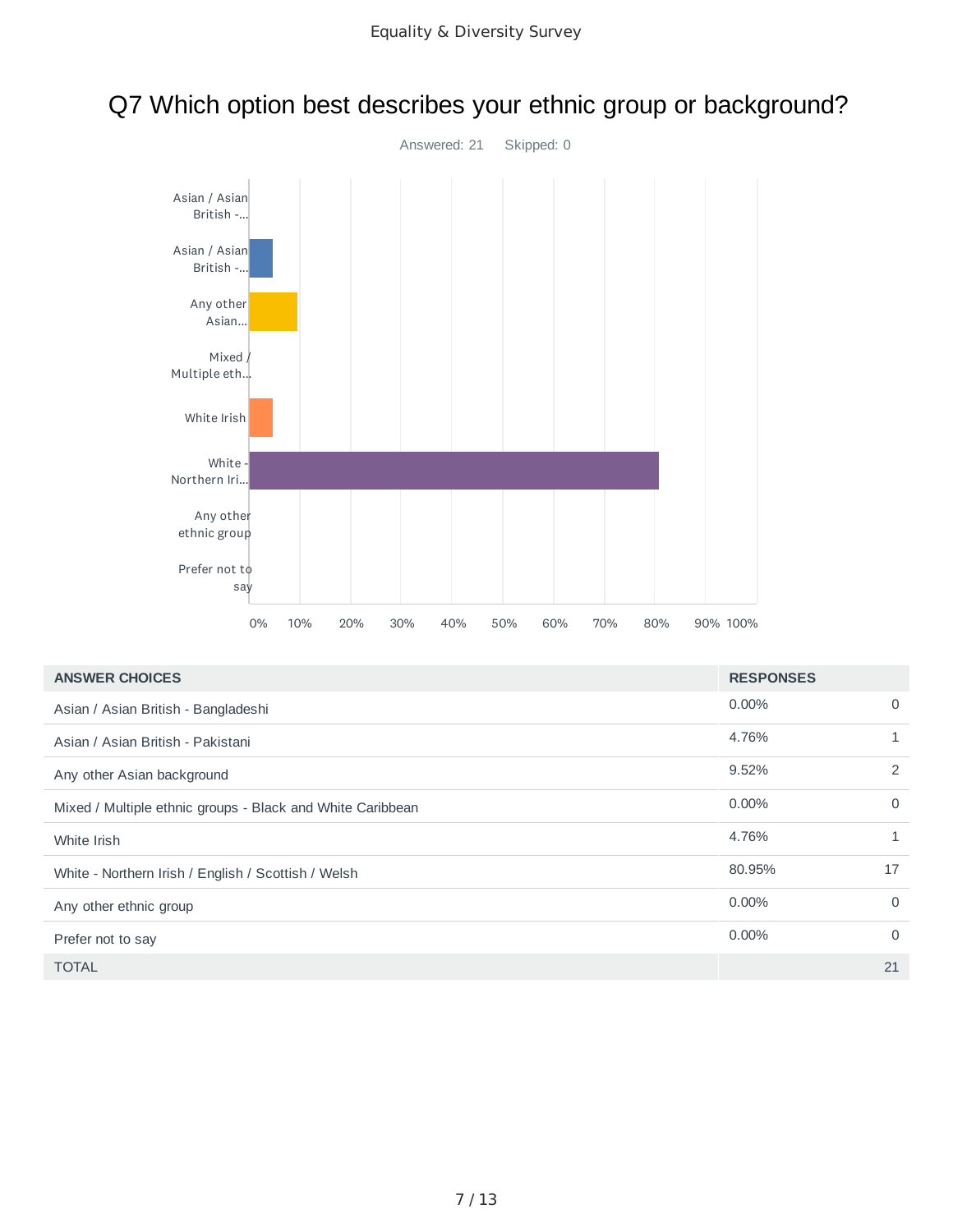



| <b>ANSWER CHOICES</b>                                      | <b>RESPONSES</b> |          |
|------------------------------------------------------------|------------------|----------|
| Asian / Asian British - Bangladeshi                        | $0.00\%$         | $\Omega$ |
| Asian / Asian British - Pakistani                          | 4.76%            | 1        |
| Any other Asian background                                 | 9.52%            | 2        |
| Mixed / Multiple ethnic groups - Black and White Caribbean | $0.00\%$         | $\Omega$ |
| White Irish                                                | 4.76%            | 1        |
| White - Northern Irish / English / Scottish / Welsh        | 80.95%           | 17       |
| Any other ethnic group                                     | $0.00\%$         | $\Omega$ |
| Prefer not to say                                          | $0.00\%$         | $\Omega$ |
| <b>TOTAL</b>                                               |                  | 21       |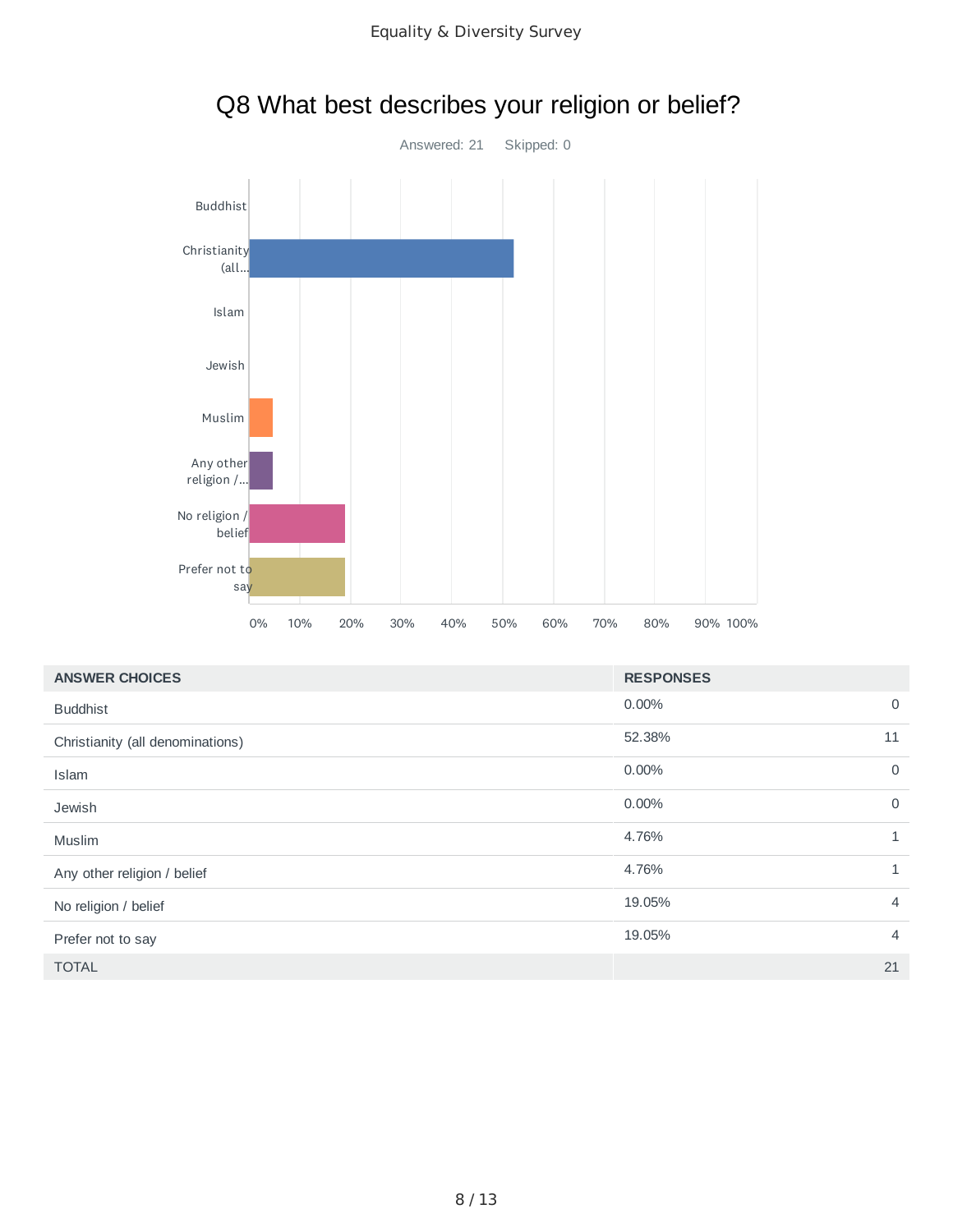

## Q8 What best describes your religion or belief?

| <b>ANSWER CHOICES</b>            | <b>RESPONSES</b>         |
|----------------------------------|--------------------------|
| <b>Buddhist</b>                  | $\mathbf 0$<br>0.00%     |
| Christianity (all denominations) | 52.38%<br>11             |
| Islam                            | 0.00%<br>$\mathbf 0$     |
| Jewish                           | $\mathbf 0$<br>0.00%     |
| Muslim                           | 4.76%<br>1               |
| Any other religion / belief      | 4.76%<br>1               |
| No religion / belief             | 19.05%<br>$\overline{4}$ |
| Prefer not to say                | 19.05%<br>$\overline{4}$ |
| <b>TOTAL</b>                     | 21                       |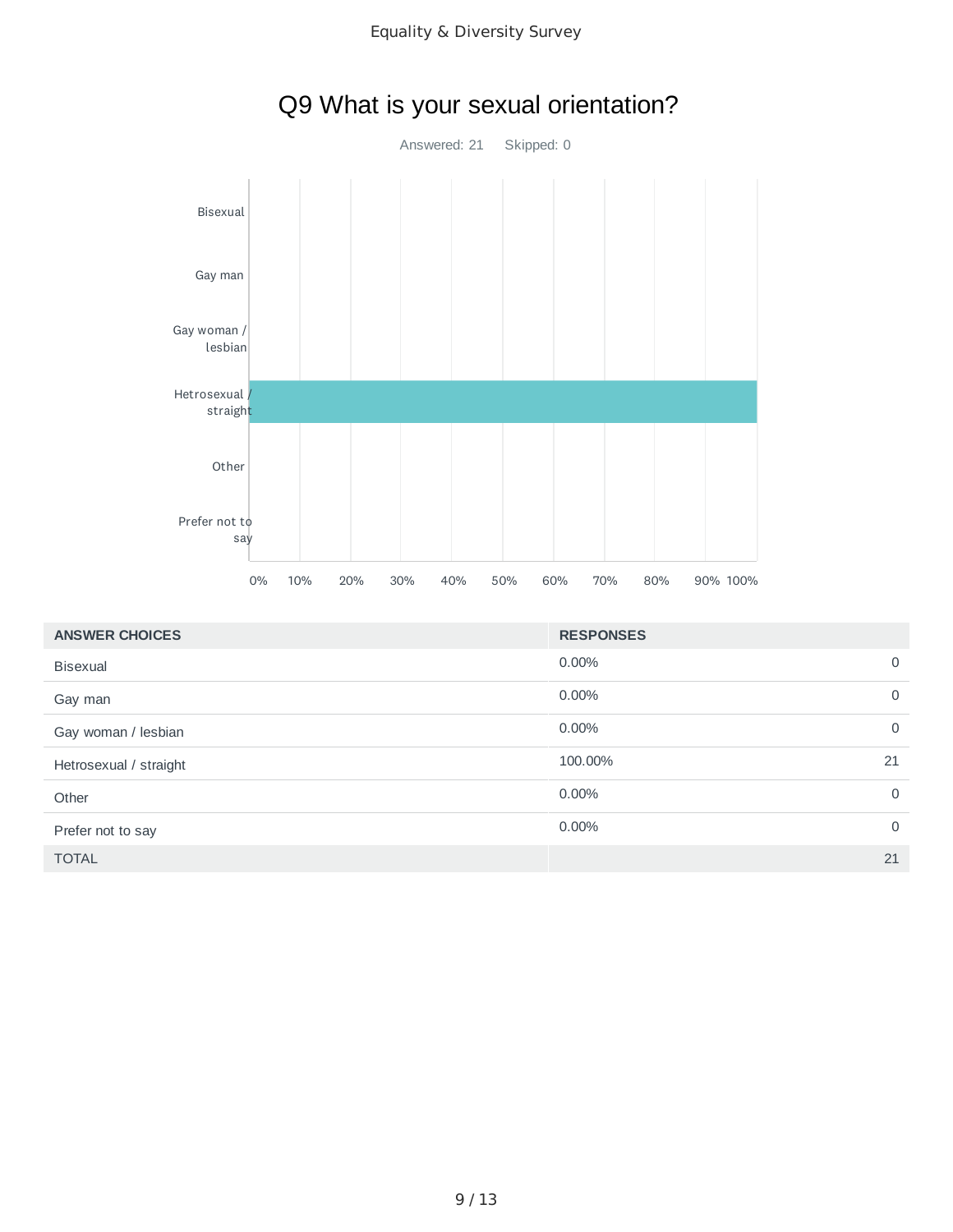

## Q9 What is your sexual orientation?

| <b>ANSWER CHOICES</b>  | <b>RESPONSES</b>        |
|------------------------|-------------------------|
| <b>Bisexual</b>        | $0.00\%$<br>$\mathbf 0$ |
| Gay man                | $0.00\%$<br>$\mathbf 0$ |
| Gay woman / lesbian    | $0.00\%$<br>$\mathbf 0$ |
| Hetrosexual / straight | 100.00%<br>21           |
| Other                  | $0.00\%$<br>$\mathbf 0$ |
| Prefer not to say      | $0.00\%$<br>$\mathbf 0$ |
| <b>TOTAL</b>           | 21                      |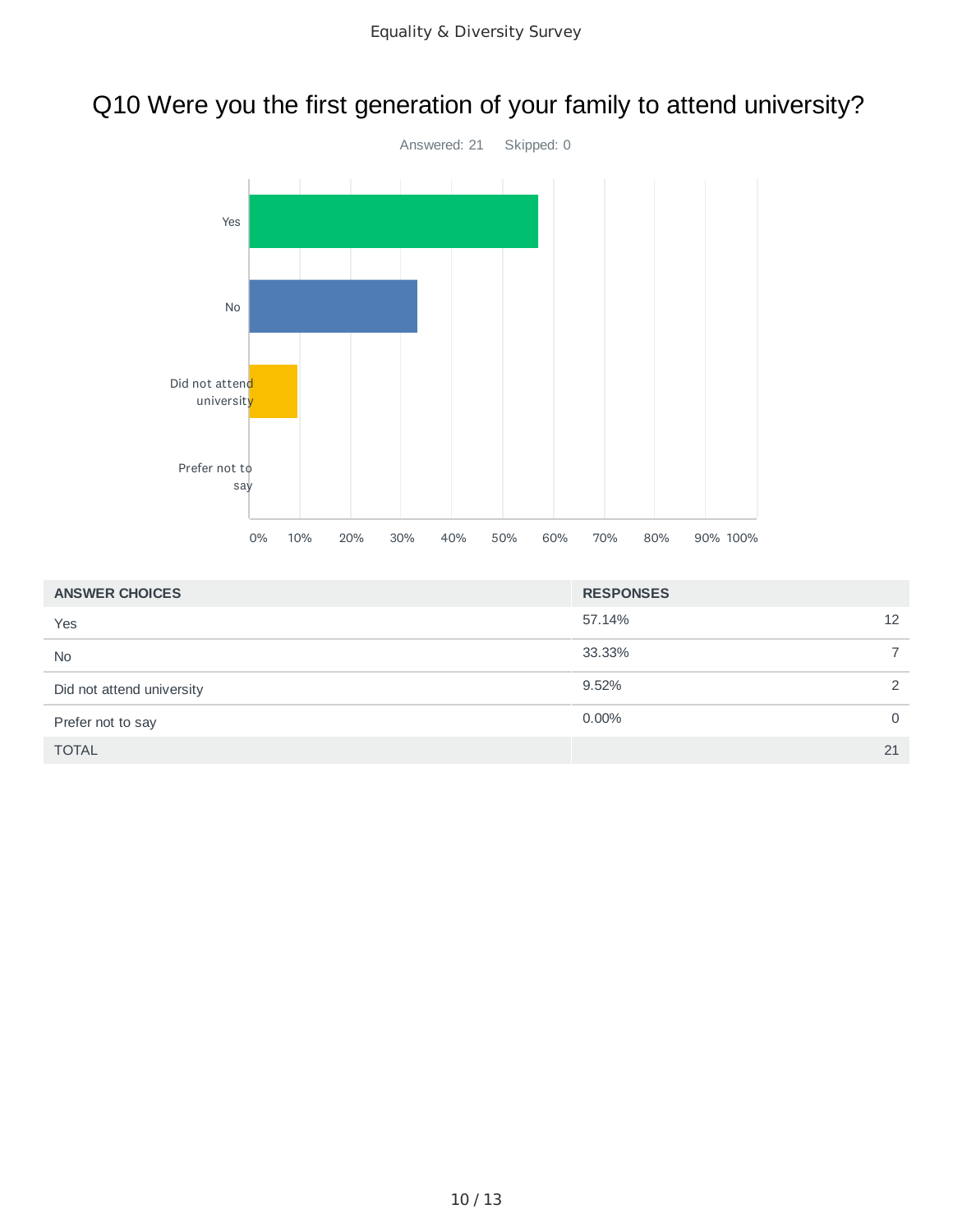## Q10 Were you the first generation of your family to attend university?



| <b>ANSWER CHOICES</b>     | <b>RESPONSES</b> |               |
|---------------------------|------------------|---------------|
| Yes                       | 57.14%           | 12            |
| <b>No</b>                 | 33.33%           |               |
| Did not attend university | 9.52%            | $\mathcal{D}$ |
| Prefer not to say         | $0.00\%$         | $\Omega$      |
| <b>TOTAL</b>              |                  | 21            |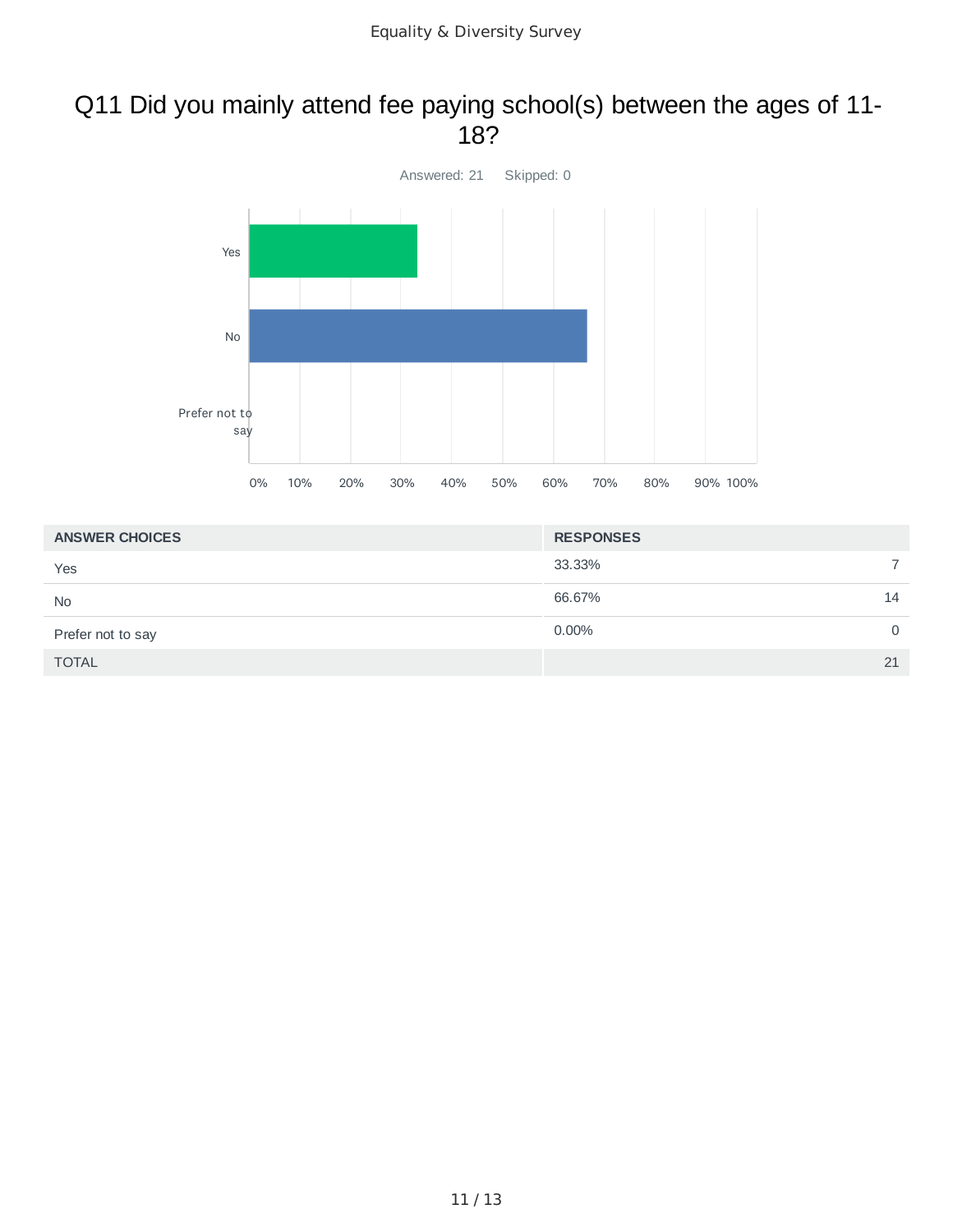#### Q11 Did you mainly attend fee paying school(s) between the ages of 11- 18?



| <b>ANSWER CHOICES</b> | <b>RESPONSES</b> |    |
|-----------------------|------------------|----|
| Yes                   | 33.33%           |    |
| <b>No</b>             | 66.67%           | 14 |
| Prefer not to say     | 0.00%            | 0  |
| <b>TOTAL</b>          |                  | 21 |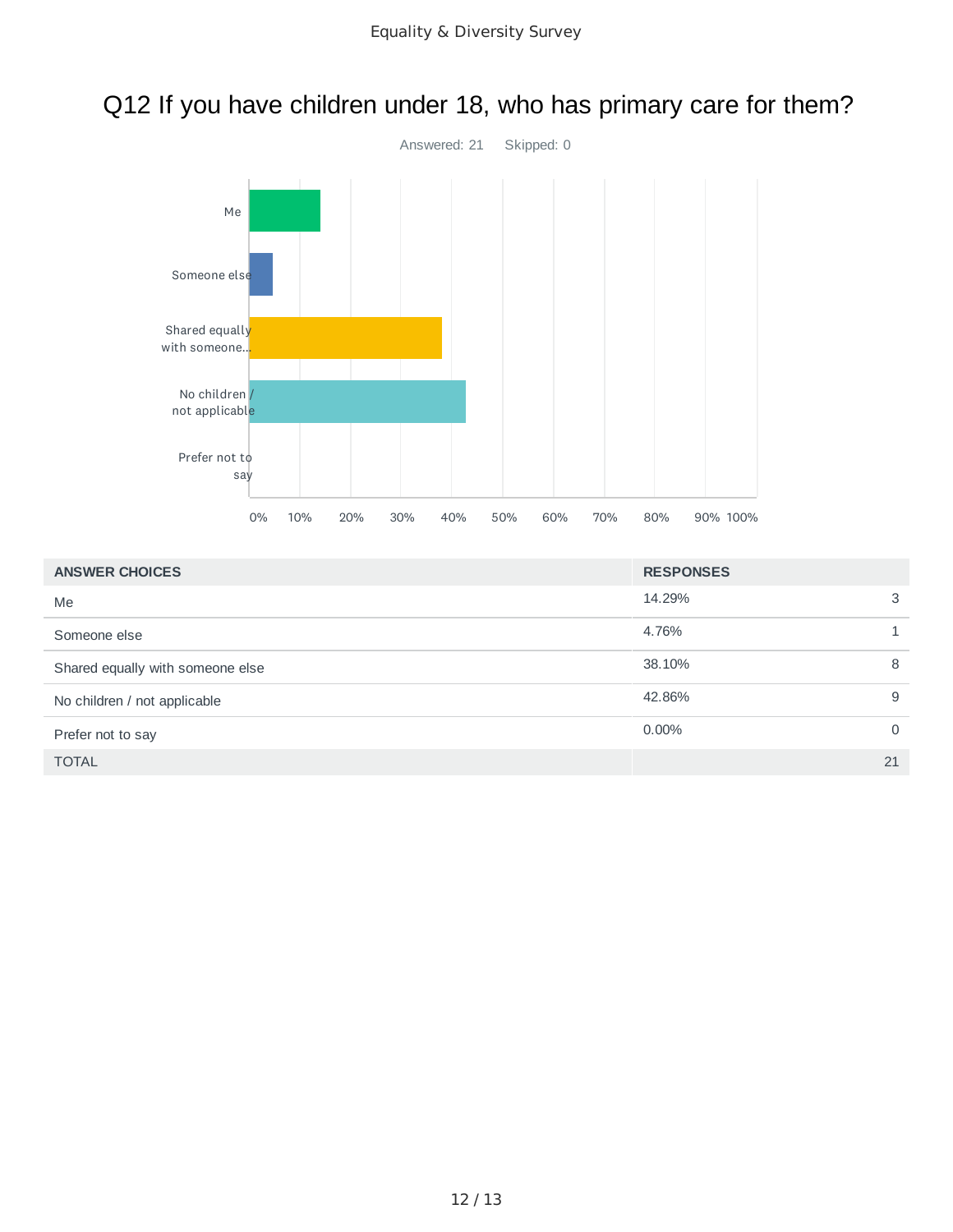### Q12 If you have children under 18, who has primary care for them?



| <b>ANSWER CHOICES</b>            | <b>RESPONSES</b> |          |
|----------------------------------|------------------|----------|
| Me                               | 14.29%           | 3        |
| Someone else                     | 4.76%            |          |
| Shared equally with someone else | 38.10%           | 8        |
| No children / not applicable     | 42.86%           | 9        |
| Prefer not to say                | $0.00\%$         | $\Omega$ |
| <b>TOTAL</b>                     |                  | 21       |